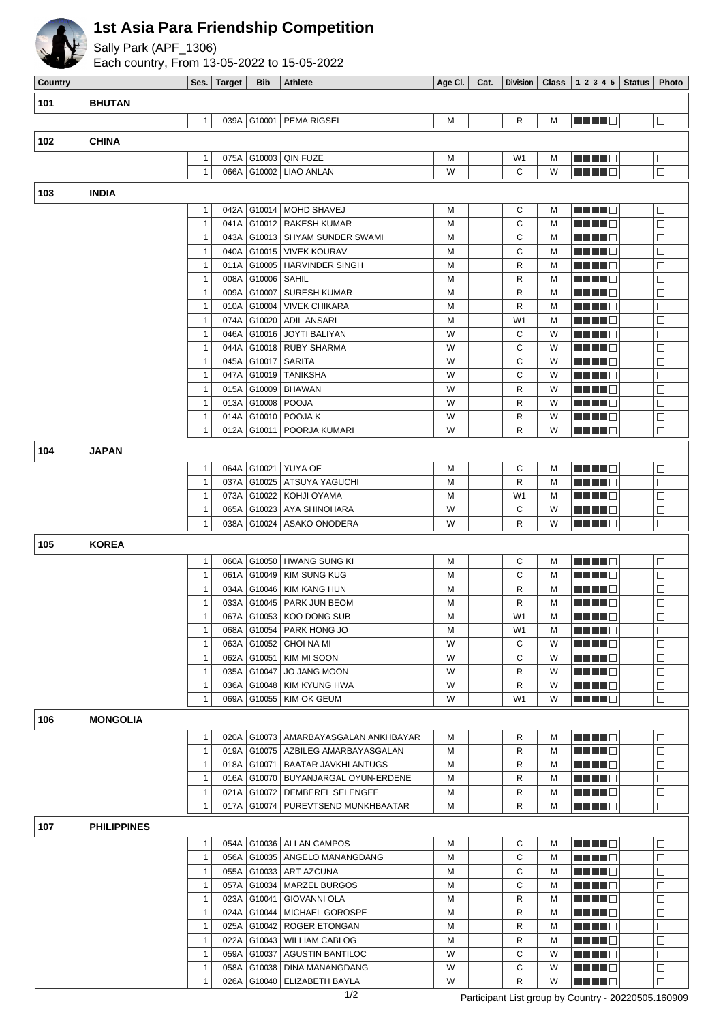

## **1st Asia Para Friendship Competition**

Sally Park (APF\_1306)

Each country, From 13-05-2022 to 15-05-2022

| Country |                    |                   | Ses.   Target | <b>Bib</b>       | Athlete                                           | Age Cl. $ $ | Cat. |                     |        | Division Class $12345$       | <b>Status</b> | Photo            |
|---------|--------------------|-------------------|---------------|------------------|---------------------------------------------------|-------------|------|---------------------|--------|------------------------------|---------------|------------------|
| 101     | <b>BHUTAN</b>      |                   |               |                  |                                                   |             |      |                     |        |                              |               |                  |
|         |                    |                   | 039A          | G10001           | PEMA RIGSEL                                       |             |      | R                   |        |                              |               |                  |
|         |                    | $\mathbf{1}$      |               |                  |                                                   | M           |      |                     | M      | ME HE O                      |               | $\Box$           |
| 102     | <b>CHINA</b>       |                   |               |                  |                                                   |             |      |                     |        |                              |               |                  |
|         |                    | 1                 | 075A          | G10003           | <b>QIN FUZE</b>                                   | M           |      | W1                  | М      | MA MARINA                    |               | $\Box$           |
|         |                    | $\mathbf{1}$      | 066A          |                  | G10002   LIAO ANLAN                               | W           |      | C                   | W      | MA MA                        |               | $\Box$           |
| 103     | <b>INDIA</b>       |                   |               |                  |                                                   |             |      |                     |        |                              |               |                  |
|         |                    | 1                 | 042A          | G10014           | MOHD SHAVEJ                                       | M           |      | С                   | М      | MA MER                       |               | $\Box$           |
|         |                    | $\mathbf{1}$      | 041A          |                  | G10012   RAKESH KUMAR                             | M           |      | C                   | M      | MAN DI E                     |               | $\Box$           |
|         |                    | 1                 | 043A          |                  | G10013   SHYAM SUNDER SWAMI                       | M           |      | C                   | M      | ME E E O                     |               | $\Box$           |
|         |                    | 1                 | 040A          |                  | G10015   VIVEK KOURAV                             | M           |      | C                   | M      | ME NOT                       |               | $\Box$           |
|         |                    | 1                 | 011A          |                  | G10005   HARVINDER SINGH                          | M           |      | R                   | M      | MA MARI                      |               | $\Box$           |
|         |                    | 1                 | 008A          | G10006           | SAHIL                                             | M           |      | R                   | M      | <u> E Film</u>               |               | $\Box$           |
|         |                    | 1                 | 009A          | G10007           | <b>SURESH KUMAR</b>                               | M           |      | R                   | M      | <u> Literatur</u>            |               | $\Box$           |
|         |                    | 1                 | 010A          | G10004           | <b>VIVEK CHIKARA</b>                              | M           |      | R                   | M      | <u>Li Li Li B</u>            |               | $\Box$           |
|         |                    | 1                 | 074A          | G10020           | <b>ADIL ANSARI</b>                                | M           |      | W <sub>1</sub>      | M      | <u>Li Li Li B</u>            |               | $\Box$           |
|         |                    | $\mathbf{1}$      | 046A          | G10016           | <b>JOYTI BALIYAN</b>                              | W           |      | С                   | W      | <u> E Film</u>               |               | $\Box$           |
|         |                    | 1                 | 044A          | G10018           | <b>RUBY SHARMA</b>                                | W           |      | C                   | W      | MA MARINA                    |               | $\Box$           |
|         |                    | 1<br>1            | 045A<br>047A  | G10017<br>G10019 | <b>SARITA</b><br><b>TANIKSHA</b>                  | W<br>W      |      | C<br>C              | W<br>W | Martin B<br>MA MA S          |               | $\Box$<br>$\Box$ |
|         |                    | 1                 | 015A          | G10009           | <b>BHAWAN</b>                                     | W           |      | R                   | W      | MA MA W                      |               | $\Box$           |
|         |                    | 1                 | 013A          | G10008           | <b>POOJA</b>                                      | W           |      | R                   | W      | <u> Literatur</u>            |               | $\Box$           |
|         |                    | 1                 | 014A          | G10010           | POOJA K                                           | W           |      | R                   | W      | <u> El El El E</u>           |               | $\Box$           |
|         |                    | 1                 | 012A          | G10011           | POORJA KUMARI                                     | W           |      | R                   | W      | <u>Li Li Li B</u>            |               | $\Box$           |
|         |                    |                   |               |                  |                                                   |             |      |                     |        |                              |               |                  |
| 104     | <b>JAPAN</b>       |                   |               |                  |                                                   |             |      |                     |        |                              |               |                  |
|         |                    | 1                 | 064A          |                  | G10021   YUYA OE                                  | M           |      | С                   | м      | MA MER                       |               | $\Box$           |
|         |                    | $\mathbf{1}$      | 037A          |                  | G10025   ATSUYA YAGUCHI                           | M           |      | R                   | M      | THE LE                       |               | $\Box$           |
|         |                    | 1                 | 073A          | G10022<br>G10023 | KOHJI OYAMA                                       | M<br>W      |      | W <sub>1</sub><br>С | M      |                              |               | $\Box$           |
|         |                    | 1<br>$\mathbf{1}$ | 065A<br>038A  | G10024           | AYA SHINOHARA<br>ASAKO ONODERA                    | W           |      | R                   | W<br>W | ME HE H<br><u> Literatur</u> |               | $\Box$<br>$\Box$ |
|         |                    |                   |               |                  |                                                   |             |      |                     |        |                              |               |                  |
| 105     | <b>KOREA</b>       |                   |               |                  |                                                   |             |      |                     |        |                              |               |                  |
|         |                    | 1                 | 060A          |                  | G10050   HWANG SUNG KI                            | M           |      | С                   | M      | MA MER                       |               | $\Box$           |
|         |                    | $\mathbf{1}$      |               |                  | 061A   G10049   KIM SUNG KUG                      | M           |      | С                   | M      | MA MAR                       |               | $\Box$           |
|         |                    | 1                 |               | 034A G10046      | KIM KANG HUN                                      | М           |      | R                   | M      |                              |               | $\Box$           |
|         |                    | 1                 |               |                  | 033A   G10045   PARK JUN BEOM                     | M           |      | R                   | M      | MA NO M                      |               | $\Box$           |
|         |                    | 1<br>1            | 068A          |                  | 067A G10053 KOO DONG SUB<br>G10054   PARK HONG JO | M<br>M      |      | W1<br>W1            | М<br>м | <b>HEEE</b><br>a da bi b     |               | $\Box$<br>$\Box$ |
|         |                    | 1                 | 063A          |                  | G10052   CHOI NA MI                               | W           |      | С                   | W      | <u>Literatur</u>             |               | $\Box$           |
|         |                    | 1                 | 062A          |                  | G10051   KIM MI SOON                              | W           |      | С                   | W      | MA MER                       |               | $\Box$           |
|         |                    | 1                 | 035A          | G10047           | JO JANG MOON                                      | W           |      | R                   | W      | <u> E La Bi</u>              |               | □                |
|         |                    | 1                 | 036A          | G10048           | KIM KYUNG HWA                                     | W           |      | R                   | W      | <u> El El El </u>            |               | $\Box$           |
|         |                    | 1                 | 069A          |                  | G10055   KIM OK GEUM                              | W           |      | W1                  | W      | M M M M M                    |               | $\Box$           |
| 106     | <b>MONGOLIA</b>    |                   |               |                  |                                                   |             |      |                     |        |                              |               |                  |
|         |                    | 1                 |               |                  | 020A   G10073   AMARBAYASGALAN ANKHBAYAR          | M           |      | R                   |        | <b>REBEC</b>                 |               | □                |
|         |                    | 1                 |               |                  | 019A   G10075   AZBILEG AMARBAYASGALAN            | M           |      | R                   | м<br>м | M M M M M                    |               | $\Box$           |
|         |                    | 1                 |               |                  | 018A   G10071   BAATAR JAVKHLANTUGS               | M           |      | R                   | м      | <u>Li Li Bi</u> li           |               | $\Box$           |
|         |                    | 1                 |               |                  | 016A   G10070   BUYANJARGAL OYUN-ERDENE           | M           |      | R                   | м      | <u>Lihat d</u>               |               | $\Box$           |
|         |                    | 1                 |               |                  | 021A   G10072   DEMBEREL SELENGEE                 | M           |      | R                   | м      | a da bi b                    |               | □                |
|         |                    | $\mathbf{1}$      |               | 017A G10074      | PUREVTSEND MUNKHBAATAR                            | M           |      | R                   | м      | MA MER                       |               | $\Box$           |
| 107     | <b>PHILIPPINES</b> |                   |               |                  |                                                   |             |      |                     |        |                              |               |                  |
|         |                    | $\mathbf{1}$      |               |                  | 054A   G10036   ALLAN CAMPOS                      |             |      | С                   |        |                              |               |                  |
|         |                    | $\mathbf{1}$      |               |                  | 056A   G10035   ANGELO MANANGDANG                 | M<br>M      |      | C                   | м<br>м | M HE HE<br><b>REBEC</b>      |               | $\Box$<br>$\Box$ |
|         |                    | 1                 |               |                  | 055A   G10033   ART AZCUNA                        | M           |      | С                   | м      | ME HE O                      |               | $\Box$           |
|         |                    | 1                 |               | 057A   G10034    | <b>MARZEL BURGOS</b>                              | M           |      | С                   | м      | MEN HO                       |               | $\Box$           |
|         |                    | 1                 | 023A          | G10041           | <b>GIOVANNI OLA</b>                               | M           |      | R                   | м      | <u> El El El </u>            |               | $\Box$           |
|         |                    | 1                 | 024A          | G10044           | MICHAEL GOROSPE                                   | M           |      | R                   | м      | <u>Little B</u>              |               | $\Box$           |
|         |                    | 1                 | 025A          |                  | G10042   ROGER ETONGAN                            | M           |      | R                   | м      | <u>Li Li El</u>              |               | $\Box$           |
|         |                    | 1                 | 022A          |                  | G10043   WILLIAM CABLOG                           | M           |      | R                   | м      | <u> Literatur C</u>          |               | $\Box$           |
|         |                    | 1                 |               |                  | 059A   G10037   AGUSTIN BANTILOC                  | W           |      | С                   | W      | <u> El El El </u>            |               | $\Box$           |
|         |                    | 1                 | 058A          | G10038           | <b>DINA MANANGDANG</b>                            | W           |      | С                   | W      | <u>Lihat d</u>               |               | $\Box$           |
|         |                    | $\mathbf{1}$      |               |                  | 026A   G10040   ELIZABETH BAYLA                   | W           |      | R                   | W      | MA MAR                       |               | $\Box$           |